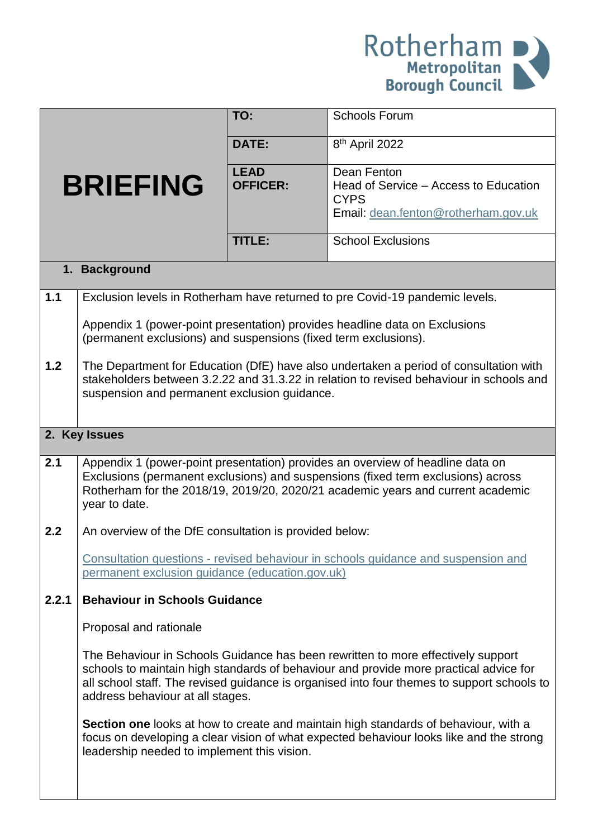

|                 |                                                                                                                                                                                                                                                                                                             | TO:                            | <b>Schools Forum</b>                                                                                                                                                                  |  |  |  |
|-----------------|-------------------------------------------------------------------------------------------------------------------------------------------------------------------------------------------------------------------------------------------------------------------------------------------------------------|--------------------------------|---------------------------------------------------------------------------------------------------------------------------------------------------------------------------------------|--|--|--|
|                 |                                                                                                                                                                                                                                                                                                             | <b>DATE:</b>                   | 8 <sup>th</sup> April 2022                                                                                                                                                            |  |  |  |
| <b>BRIEFING</b> |                                                                                                                                                                                                                                                                                                             | <b>LEAD</b><br><b>OFFICER:</b> | Dean Fenton<br>Head of Service - Access to Education<br><b>CYPS</b><br>Email: dean.fenton@rotherham.gov.uk                                                                            |  |  |  |
|                 |                                                                                                                                                                                                                                                                                                             | <b>TITLE:</b>                  | <b>School Exclusions</b>                                                                                                                                                              |  |  |  |
| 1. Background   |                                                                                                                                                                                                                                                                                                             |                                |                                                                                                                                                                                       |  |  |  |
| 1.1             |                                                                                                                                                                                                                                                                                                             |                                | Exclusion levels in Rotherham have returned to pre Covid-19 pandemic levels.                                                                                                          |  |  |  |
|                 | (permanent exclusions) and suspensions (fixed term exclusions).                                                                                                                                                                                                                                             |                                | Appendix 1 (power-point presentation) provides headline data on Exclusions                                                                                                            |  |  |  |
| 1.2             | The Department for Education (DfE) have also undertaken a period of consultation with<br>stakeholders between 3.2.22 and 31.3.22 in relation to revised behaviour in schools and<br>suspension and permanent exclusion guidance.                                                                            |                                |                                                                                                                                                                                       |  |  |  |
|                 | 2. Key Issues                                                                                                                                                                                                                                                                                               |                                |                                                                                                                                                                                       |  |  |  |
| 2.1             | Appendix 1 (power-point presentation) provides an overview of headline data on<br>Exclusions (permanent exclusions) and suspensions (fixed term exclusions) across<br>Rotherham for the 2018/19, 2019/20, 2020/21 academic years and current academic<br>year to date.                                      |                                |                                                                                                                                                                                       |  |  |  |
| 2.2             | An overview of the DfE consultation is provided below:                                                                                                                                                                                                                                                      |                                |                                                                                                                                                                                       |  |  |  |
|                 | permanent exclusion guidance (education.gov.uk)                                                                                                                                                                                                                                                             |                                | Consultation questions - revised behaviour in schools guidance and suspension and                                                                                                     |  |  |  |
| 2.2.1           | <b>Behaviour in Schools Guidance</b>                                                                                                                                                                                                                                                                        |                                |                                                                                                                                                                                       |  |  |  |
|                 | Proposal and rationale                                                                                                                                                                                                                                                                                      |                                |                                                                                                                                                                                       |  |  |  |
|                 | The Behaviour in Schools Guidance has been rewritten to more effectively support<br>schools to maintain high standards of behaviour and provide more practical advice for<br>all school staff. The revised guidance is organised into four themes to support schools to<br>address behaviour at all stages. |                                |                                                                                                                                                                                       |  |  |  |
|                 | leadership needed to implement this vision.                                                                                                                                                                                                                                                                 |                                | <b>Section one</b> looks at how to create and maintain high standards of behaviour, with a<br>focus on developing a clear vision of what expected behaviour looks like and the strong |  |  |  |
|                 |                                                                                                                                                                                                                                                                                                             |                                |                                                                                                                                                                                       |  |  |  |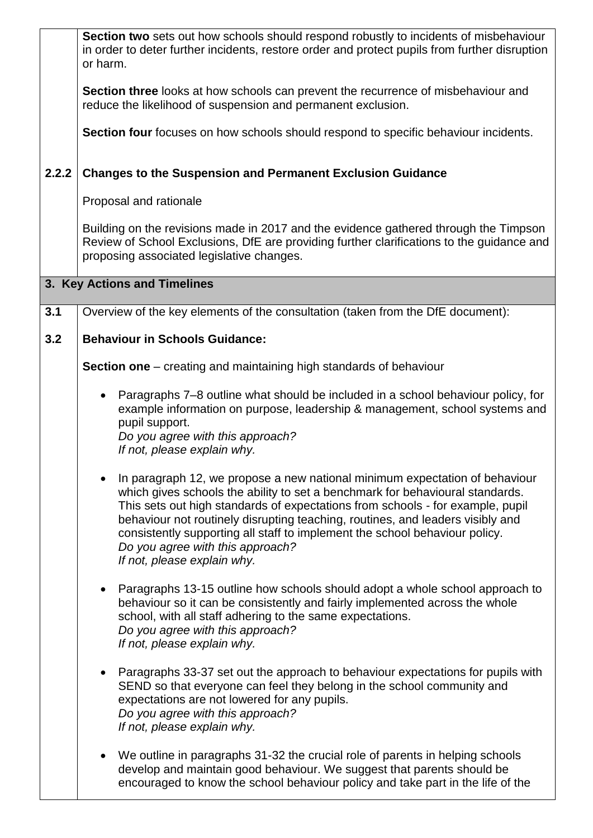|       | Section two sets out how schools should respond robustly to incidents of misbehaviour<br>in order to deter further incidents, restore order and protect pupils from further disruption<br>or harm.                                                                                                                                                                                                                                                                                 |  |  |
|-------|------------------------------------------------------------------------------------------------------------------------------------------------------------------------------------------------------------------------------------------------------------------------------------------------------------------------------------------------------------------------------------------------------------------------------------------------------------------------------------|--|--|
|       | Section three looks at how schools can prevent the recurrence of misbehaviour and<br>reduce the likelihood of suspension and permanent exclusion.                                                                                                                                                                                                                                                                                                                                  |  |  |
|       | Section four focuses on how schools should respond to specific behaviour incidents.                                                                                                                                                                                                                                                                                                                                                                                                |  |  |
| 2.2.2 | <b>Changes to the Suspension and Permanent Exclusion Guidance</b>                                                                                                                                                                                                                                                                                                                                                                                                                  |  |  |
|       | Proposal and rationale                                                                                                                                                                                                                                                                                                                                                                                                                                                             |  |  |
|       | Building on the revisions made in 2017 and the evidence gathered through the Timpson<br>Review of School Exclusions, DfE are providing further clarifications to the guidance and<br>proposing associated legislative changes.                                                                                                                                                                                                                                                     |  |  |
|       | 3. Key Actions and Timelines                                                                                                                                                                                                                                                                                                                                                                                                                                                       |  |  |
| 3.1   | Overview of the key elements of the consultation (taken from the DfE document):                                                                                                                                                                                                                                                                                                                                                                                                    |  |  |
| 3.2   | <b>Behaviour in Schools Guidance:</b>                                                                                                                                                                                                                                                                                                                                                                                                                                              |  |  |
|       | <b>Section one</b> – creating and maintaining high standards of behaviour                                                                                                                                                                                                                                                                                                                                                                                                          |  |  |
|       | Paragraphs 7–8 outline what should be included in a school behaviour policy, for<br>$\bullet$<br>example information on purpose, leadership & management, school systems and<br>pupil support.                                                                                                                                                                                                                                                                                     |  |  |
|       | Do you agree with this approach?<br>If not, please explain why.                                                                                                                                                                                                                                                                                                                                                                                                                    |  |  |
|       | In paragraph 12, we propose a new national minimum expectation of behaviour<br>which gives schools the ability to set a benchmark for behavioural standards.<br>This sets out high standards of expectations from schools - for example, pupil<br>behaviour not routinely disrupting teaching, routines, and leaders visibly and<br>consistently supporting all staff to implement the school behaviour policy.<br>Do you agree with this approach?<br>If not, please explain why. |  |  |
|       | Paragraphs 13-15 outline how schools should adopt a whole school approach to<br>behaviour so it can be consistently and fairly implemented across the whole<br>school, with all staff adhering to the same expectations.<br>Do you agree with this approach?<br>If not, please explain why.                                                                                                                                                                                        |  |  |
|       | Paragraphs 33-37 set out the approach to behaviour expectations for pupils with<br>SEND so that everyone can feel they belong in the school community and<br>expectations are not lowered for any pupils.<br>Do you agree with this approach?<br>If not, please explain why.                                                                                                                                                                                                       |  |  |
|       | We outline in paragraphs 31-32 the crucial role of parents in helping schools<br>develop and maintain good behaviour. We suggest that parents should be<br>encouraged to know the school behaviour policy and take part in the life of the                                                                                                                                                                                                                                         |  |  |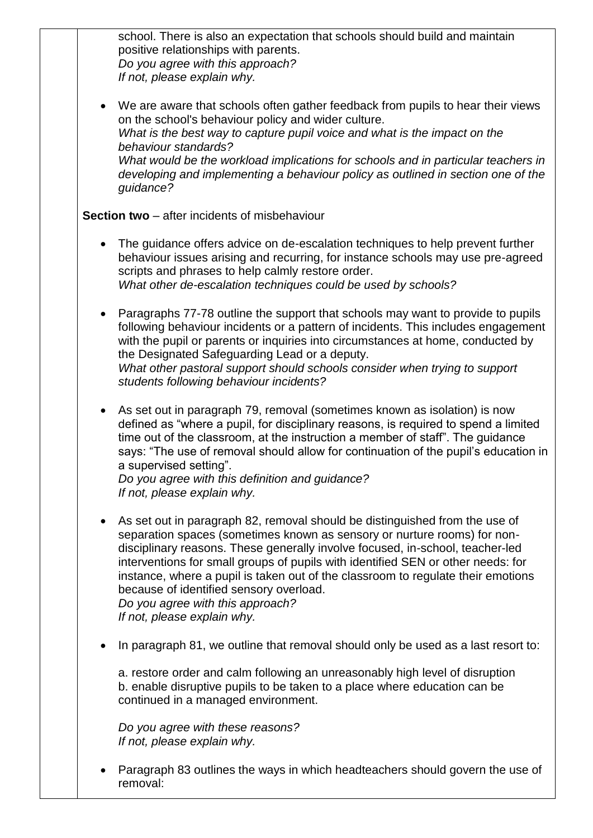school. There is also an expectation that schools should build and maintain positive relationships with parents. *Do you agree with this approach? If not, please explain why.* 

 We are aware that schools often gather feedback from pupils to hear their views on the school's behaviour policy and wider culture. *What is the best way to capture pupil voice and what is the impact on the behaviour standards? What would be the workload implications for schools and in particular teachers in developing and implementing a behaviour policy as outlined in section one of the guidance?*

**Section two** – after incidents of misbehaviour

- The guidance offers advice on de-escalation techniques to help prevent further behaviour issues arising and recurring, for instance schools may use pre-agreed scripts and phrases to help calmly restore order. *What other de-escalation techniques could be used by schools?*
- Paragraphs 77-78 outline the support that schools may want to provide to pupils following behaviour incidents or a pattern of incidents. This includes engagement with the pupil or parents or inquiries into circumstances at home, conducted by the Designated Safeguarding Lead or a deputy. *What other pastoral support should schools consider when trying to support students following behaviour incidents?*
- As set out in paragraph 79, removal (sometimes known as isolation) is now defined as "where a pupil, for disciplinary reasons, is required to spend a limited time out of the classroom, at the instruction a member of staff". The guidance says: "The use of removal should allow for continuation of the pupil's education in a supervised setting".

*Do you agree with this definition and guidance? If not, please explain why.* 

- As set out in paragraph 82, removal should be distinguished from the use of separation spaces (sometimes known as sensory or nurture rooms) for nondisciplinary reasons. These generally involve focused, in-school, teacher-led interventions for small groups of pupils with identified SEN or other needs: for instance, where a pupil is taken out of the classroom to regulate their emotions because of identified sensory overload. *Do you agree with this approach? If not, please explain why.*
- In paragraph 81, we outline that removal should only be used as a last resort to:

a. restore order and calm following an unreasonably high level of disruption b. enable disruptive pupils to be taken to a place where education can be continued in a managed environment.

*Do you agree with these reasons? If not, please explain why.*

 Paragraph 83 outlines the ways in which headteachers should govern the use of removal: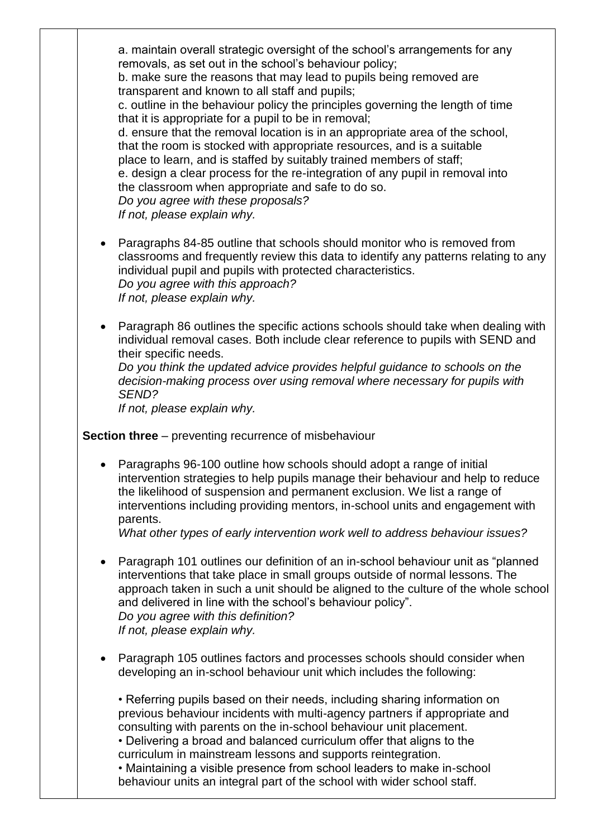a. maintain overall strategic oversight of the school's arrangements for any removals, as set out in the school's behaviour policy; b. make sure the reasons that may lead to pupils being removed are transparent and known to all staff and pupils; c. outline in the behaviour policy the principles governing the length of time that it is appropriate for a pupil to be in removal; d. ensure that the removal location is in an appropriate area of the school, that the room is stocked with appropriate resources, and is a suitable place to learn, and is staffed by suitably trained members of staff; e. design a clear process for the re-integration of any pupil in removal into the classroom when appropriate and safe to do so. *Do you agree with these proposals? If not, please explain why.*

- Paragraphs 84-85 outline that schools should monitor who is removed from classrooms and frequently review this data to identify any patterns relating to any individual pupil and pupils with protected characteristics. *Do you agree with this approach? If not, please explain why.*
- Paragraph 86 outlines the specific actions schools should take when dealing with individual removal cases. Both include clear reference to pupils with SEND and their specific needs.

*Do you think the updated advice provides helpful guidance to schools on the decision-making process over using removal where necessary for pupils with SEND?* 

*If not, please explain why.*

## **Section three** – preventing recurrence of misbehaviour

 Paragraphs 96-100 outline how schools should adopt a range of initial intervention strategies to help pupils manage their behaviour and help to reduce the likelihood of suspension and permanent exclusion. We list a range of interventions including providing mentors, in-school units and engagement with parents.

*What other types of early intervention work well to address behaviour issues?*

- Paragraph 101 outlines our definition of an in-school behaviour unit as "planned interventions that take place in small groups outside of normal lessons. The approach taken in such a unit should be aligned to the culture of the whole school and delivered in line with the school's behaviour policy". *Do you agree with this definition? If not, please explain why.*
- Paragraph 105 outlines factors and processes schools should consider when developing an in-school behaviour unit which includes the following:

• Referring pupils based on their needs, including sharing information on previous behaviour incidents with multi-agency partners if appropriate and consulting with parents on the in-school behaviour unit placement. • Delivering a broad and balanced curriculum offer that aligns to the curriculum in mainstream lessons and supports reintegration. • Maintaining a visible presence from school leaders to make in-school behaviour units an integral part of the school with wider school staff.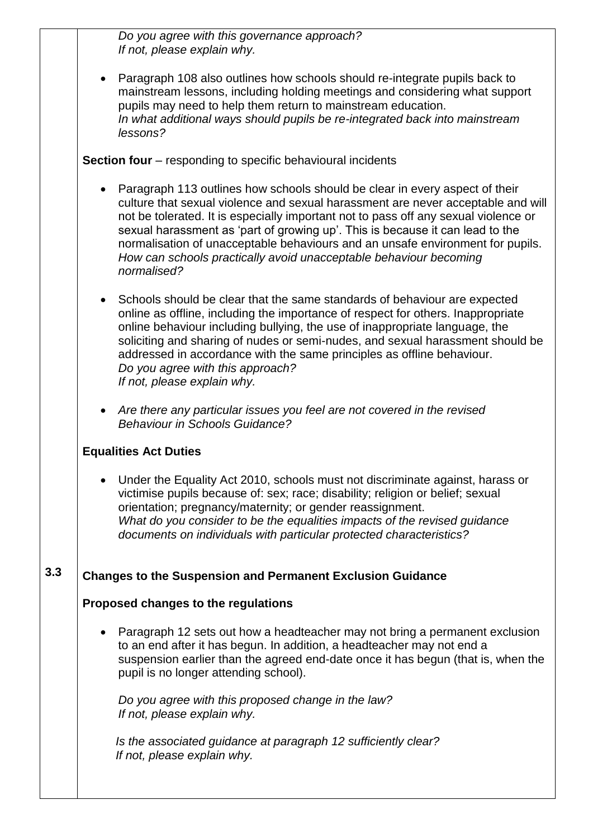*Do you agree with this governance approach? If not, please explain why.* 

 Paragraph 108 also outlines how schools should re-integrate pupils back to mainstream lessons, including holding meetings and considering what support pupils may need to help them return to mainstream education. *In what additional ways should pupils be re-integrated back into mainstream lessons?*

**Section four** – responding to specific behavioural incidents

- Paragraph 113 outlines how schools should be clear in every aspect of their culture that sexual violence and sexual harassment are never acceptable and will not be tolerated. It is especially important not to pass off any sexual violence or sexual harassment as 'part of growing up'. This is because it can lead to the normalisation of unacceptable behaviours and an unsafe environment for pupils. *How can schools practically avoid unacceptable behaviour becoming normalised?*
- Schools should be clear that the same standards of behaviour are expected online as offline, including the importance of respect for others. Inappropriate online behaviour including bullying, the use of inappropriate language, the soliciting and sharing of nudes or semi-nudes, and sexual harassment should be addressed in accordance with the same principles as offline behaviour. *Do you agree with this approach? If not, please explain why.*
- *Are there any particular issues you feel are not covered in the revised Behaviour in Schools Guidance?*

## **Equalities Act Duties**

 Under the Equality Act 2010, schools must not discriminate against, harass or victimise pupils because of: sex; race; disability; religion or belief; sexual orientation; pregnancy/maternity; or gender reassignment. *What do you consider to be the equalities impacts of the revised guidance documents on individuals with particular protected characteristics?*

## **3.3 Changes to the Suspension and Permanent Exclusion Guidance**

## **Proposed changes to the regulations**

 Paragraph 12 sets out how a headteacher may not bring a permanent exclusion to an end after it has begun. In addition, a headteacher may not end a suspension earlier than the agreed end-date once it has begun (that is, when the pupil is no longer attending school).

*Do you agree with this proposed change in the law? If not, please explain why.*

*Is the associated guidance at paragraph 12 sufficiently clear? If not, please explain why.*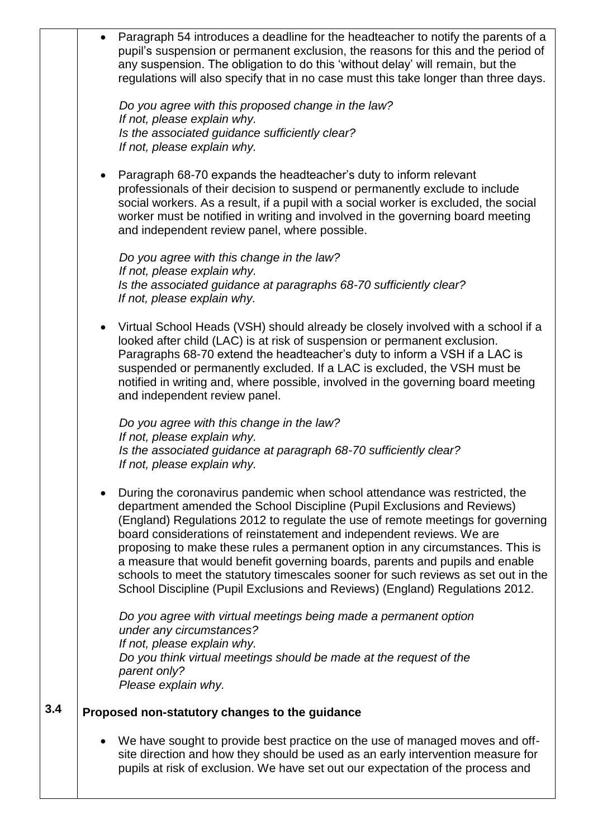|     | $\bullet$ | Paragraph 54 introduces a deadline for the headteacher to notify the parents of a<br>pupil's suspension or permanent exclusion, the reasons for this and the period of<br>any suspension. The obligation to do this 'without delay' will remain, but the<br>regulations will also specify that in no case must this take longer than three days.                                                                                                                                                                                                                                                                                                          |
|-----|-----------|-----------------------------------------------------------------------------------------------------------------------------------------------------------------------------------------------------------------------------------------------------------------------------------------------------------------------------------------------------------------------------------------------------------------------------------------------------------------------------------------------------------------------------------------------------------------------------------------------------------------------------------------------------------|
|     |           | Do you agree with this proposed change in the law?<br>If not, please explain why.<br>Is the associated guidance sufficiently clear?<br>If not, please explain why.                                                                                                                                                                                                                                                                                                                                                                                                                                                                                        |
|     |           | Paragraph 68-70 expands the headteacher's duty to inform relevant<br>professionals of their decision to suspend or permanently exclude to include<br>social workers. As a result, if a pupil with a social worker is excluded, the social<br>worker must be notified in writing and involved in the governing board meeting<br>and independent review panel, where possible.                                                                                                                                                                                                                                                                              |
|     |           | Do you agree with this change in the law?<br>If not, please explain why.<br>Is the associated guidance at paragraphs 68-70 sufficiently clear?<br>If not, please explain why.                                                                                                                                                                                                                                                                                                                                                                                                                                                                             |
|     | $\bullet$ | Virtual School Heads (VSH) should already be closely involved with a school if a<br>looked after child (LAC) is at risk of suspension or permanent exclusion.<br>Paragraphs 68-70 extend the headteacher's duty to inform a VSH if a LAC is<br>suspended or permanently excluded. If a LAC is excluded, the VSH must be<br>notified in writing and, where possible, involved in the governing board meeting<br>and independent review panel.                                                                                                                                                                                                              |
|     |           | Do you agree with this change in the law?<br>If not, please explain why.<br>Is the associated guidance at paragraph 68-70 sufficiently clear?<br>If not, please explain why.                                                                                                                                                                                                                                                                                                                                                                                                                                                                              |
|     |           | During the coronavirus pandemic when school attendance was restricted, the<br>department amended the School Discipline (Pupil Exclusions and Reviews)<br>(England) Regulations 2012 to regulate the use of remote meetings for governing<br>board considerations of reinstatement and independent reviews. We are<br>proposing to make these rules a permanent option in any circumstances. This is<br>a measure that would benefit governing boards, parents and pupils and enable<br>schools to meet the statutory timescales sooner for such reviews as set out in the<br>School Discipline (Pupil Exclusions and Reviews) (England) Regulations 2012. |
|     |           | Do you agree with virtual meetings being made a permanent option<br>under any circumstances?<br>If not, please explain why.<br>Do you think virtual meetings should be made at the request of the<br>parent only?<br>Please explain why.                                                                                                                                                                                                                                                                                                                                                                                                                  |
| 3.4 |           | Proposed non-statutory changes to the guidance                                                                                                                                                                                                                                                                                                                                                                                                                                                                                                                                                                                                            |
|     |           | We have sought to provide best practice on the use of managed moves and off-<br>site direction and how they should be used as an early intervention measure for<br>pupils at risk of exclusion. We have set out our expectation of the process and                                                                                                                                                                                                                                                                                                                                                                                                        |
|     |           |                                                                                                                                                                                                                                                                                                                                                                                                                                                                                                                                                                                                                                                           |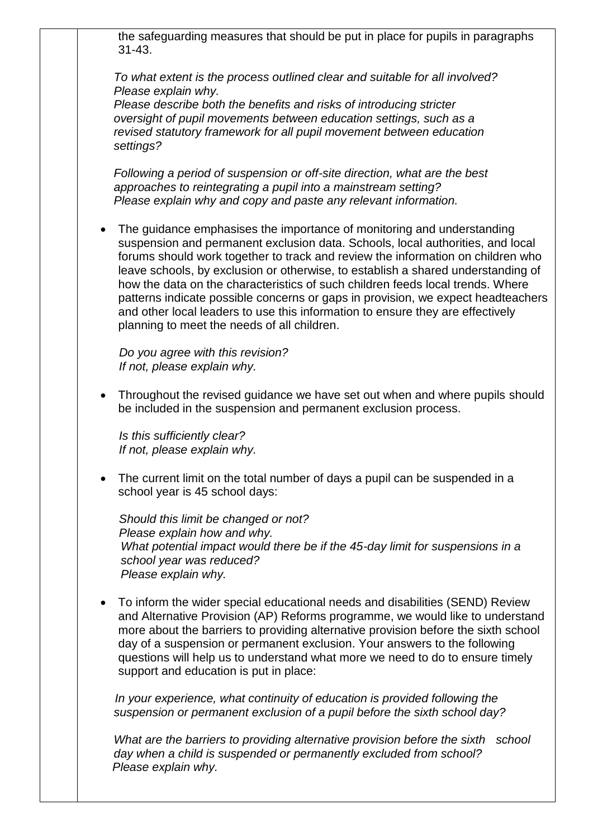the safeguarding measures that should be put in place for pupils in paragraphs 31-43.

*To what extent is the process outlined clear and suitable for all involved? Please explain why.*

*Please describe both the benefits and risks of introducing stricter oversight of pupil movements between education settings, such as a revised statutory framework for all pupil movement between education settings?*

*Following a period of suspension or off-site direction, what are the best approaches to reintegrating a pupil into a mainstream setting? Please explain why and copy and paste any relevant information.*

 The guidance emphasises the importance of monitoring and understanding suspension and permanent exclusion data. Schools, local authorities, and local forums should work together to track and review the information on children who leave schools, by exclusion or otherwise, to establish a shared understanding of how the data on the characteristics of such children feeds local trends. Where patterns indicate possible concerns or gaps in provision, we expect headteachers and other local leaders to use this information to ensure they are effectively planning to meet the needs of all children.

 *Do you agree with this revision? If not, please explain why.* 

 Throughout the revised guidance we have set out when and where pupils should be included in the suspension and permanent exclusion process.

*Is this sufficiently clear? If not, please explain why.*

 The current limit on the total number of days a pupil can be suspended in a school year is 45 school days:

*Should this limit be changed or not? Please explain how and why. What potential impact would there be if the 45-day limit for suspensions in a school year was reduced? Please explain why.*

 To inform the wider special educational needs and disabilities (SEND) Review and Alternative Provision (AP) Reforms programme, we would like to understand more about the barriers to providing alternative provision before the sixth school day of a suspension or permanent exclusion. Your answers to the following questions will help us to understand what more we need to do to ensure timely support and education is put in place:

*In your experience, what continuity of education is provided following the suspension or permanent exclusion of a pupil before the sixth school day?*

*What are the barriers to providing alternative provision before the sixth school day when a child is suspended or permanently excluded from school? Please explain why.*